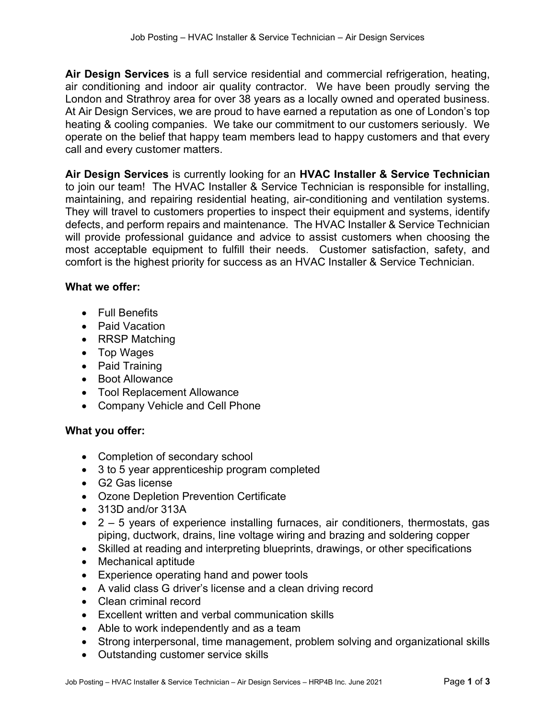Air Design Services is a full service residential and commercial refrigeration, heating, air conditioning and indoor air quality contractor. We have been proudly serving the London and Strathroy area for over 38 years as a locally owned and operated business. At Air Design Services, we are proud to have earned a reputation as one of London's top heating & cooling companies. We take our commitment to our customers seriously. We operate on the belief that happy team members lead to happy customers and that every call and every customer matters.

Air Design Services is currently looking for an HVAC Installer & Service Technician to join our team! The HVAC Installer & Service Technician is responsible for installing, maintaining, and repairing residential heating, air-conditioning and ventilation systems. They will travel to customers properties to inspect their equipment and systems, identify defects, and perform repairs and maintenance. The HVAC Installer & Service Technician will provide professional guidance and advice to assist customers when choosing the most acceptable equipment to fulfill their needs. Customer satisfaction, safety, and comfort is the highest priority for success as an HVAC Installer & Service Technician.

#### What we offer:

- Full Benefits
- Paid Vacation
- RRSP Matching
- Top Wages
- Paid Training
- Boot Allowance
- Tool Replacement Allowance
- Company Vehicle and Cell Phone

#### What you offer:

- Completion of secondary school
- 3 to 5 year apprenticeship program completed
- G2 Gas license
- Ozone Depletion Prevention Certificate
- 313D and/or 313A
- 2 5 years of experience installing furnaces, air conditioners, thermostats, gas piping, ductwork, drains, line voltage wiring and brazing and soldering copper
- Skilled at reading and interpreting blueprints, drawings, or other specifications
- Mechanical aptitude
- Experience operating hand and power tools
- A valid class G driver's license and a clean driving record
- Clean criminal record
- Excellent written and verbal communication skills
- Able to work independently and as a team
- Strong interpersonal, time management, problem solving and organizational skills
- Outstanding customer service skills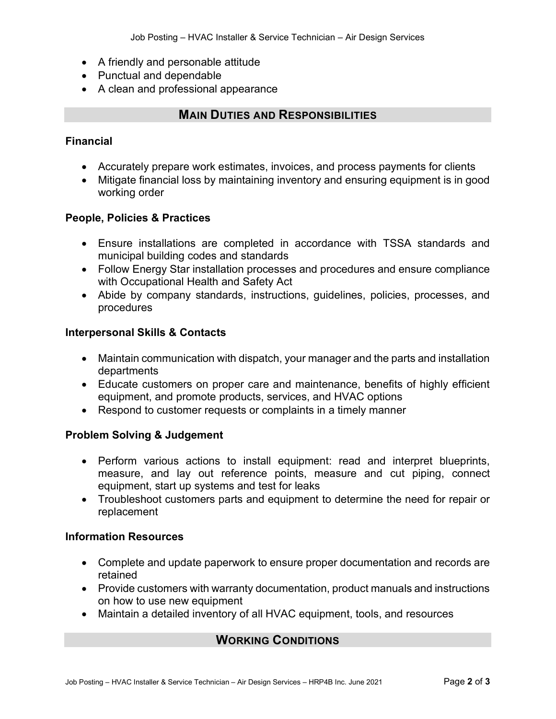- A friendly and personable attitude
- Punctual and dependable
- A clean and professional appearance

## MAIN DUTIES AND RESPONSIBILITIES

### Financial

- Accurately prepare work estimates, invoices, and process payments for clients
- Mitigate financial loss by maintaining inventory and ensuring equipment is in good working order

#### People, Policies & Practices

- Ensure installations are completed in accordance with TSSA standards and municipal building codes and standards
- Follow Energy Star installation processes and procedures and ensure compliance with Occupational Health and Safety Act
- Abide by company standards, instructions, guidelines, policies, processes, and procedures

#### Interpersonal Skills & Contacts

- Maintain communication with dispatch, your manager and the parts and installation departments
- Educate customers on proper care and maintenance, benefits of highly efficient equipment, and promote products, services, and HVAC options
- Respond to customer requests or complaints in a timely manner

#### Problem Solving & Judgement

- Perform various actions to install equipment: read and interpret blueprints, measure, and lay out reference points, measure and cut piping, connect equipment, start up systems and test for leaks
- Troubleshoot customers parts and equipment to determine the need for repair or replacement

#### Information Resources

- Complete and update paperwork to ensure proper documentation and records are retained
- Provide customers with warranty documentation, product manuals and instructions on how to use new equipment
- Maintain a detailed inventory of all HVAC equipment, tools, and resources

# WORKING CONDITIONS